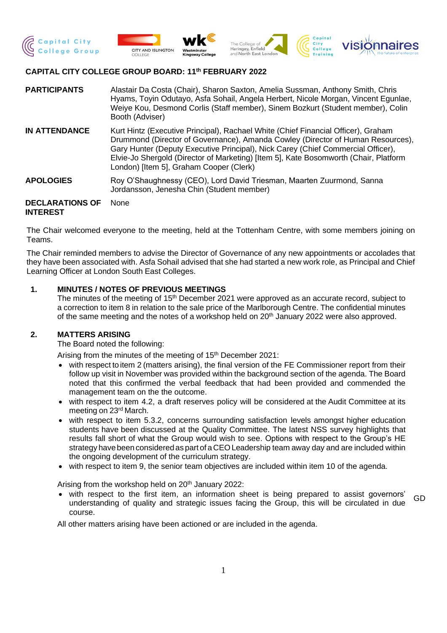







# **CAPITAL CITY COLLEGE GROUP BOARD: 11 th FEBRUARY 2022**

- **PARTICIPANTS** Alastair Da Costa (Chair), Sharon Saxton, Amelia Sussman, Anthony Smith, Chris Hyams, Toyin Odutayo, Asfa Sohail, Angela Herbert, Nicole Morgan, Vincent Egunlae, Weiye Kou, Desmond Corlis (Staff member), Sinem Bozkurt (Student member), Colin Booth (Adviser)
- **IN ATTENDANCE** Kurt Hintz (Executive Principal), Rachael White (Chief Financial Officer), Graham Drummond (Director of Governance), Amanda Cowley (Director of Human Resources), Gary Hunter (Deputy Executive Principal), Nick Carey (Chief Commercial Officer), Elvie-Jo Shergold (Director of Marketing) [Item 5], Kate Bosomworth (Chair, Platform London) [Item 5], Graham Cooper (Clerk)
- **APOLOGIES** Roy O'Shaughnessy (CEO), Lord David Triesman, Maarten Zuurmond, Sanna Jordansson, Jenesha Chin (Student member)

#### **DECLARATIONS OF INTEREST** None

The Chair welcomed everyone to the meeting, held at the Tottenham Centre, with some members joining on Teams.

The Chair reminded members to advise the Director of Governance of any new appointments or accolades that they have been associated with. Asfa Sohail advised that she had started a new work role, as Principal and Chief Learning Officer at London South East Colleges.

# **1. MINUTES / NOTES OF PREVIOUS MEETINGS**

The minutes of the meeting of 15<sup>th</sup> December 2021 were approved as an accurate record, subject to a correction to item 8 in relation to the sale price of the Marlborough Centre. The confidential minutes of the same meeting and the notes of a workshop held on 20<sup>th</sup> January 2022 were also approved.

## **2. MATTERS ARISING**

The Board noted the following:

Arising from the minutes of the meeting of 15<sup>th</sup> December 2021:

- with respect to item 2 (matters arising), the final version of the FE Commissioner report from their follow up visit in November was provided within the background section of the agenda. The Board noted that this confirmed the verbal feedback that had been provided and commended the management team on the the outcome.
- with respect to item 4.2, a draft reserves policy will be considered at the Audit Committee at its meeting on 23rd March.
- with respect to item 5.3.2, concerns surrounding satisfaction levels amongst higher education students have been discussed at the Quality Committee. The latest NSS survey highlights that results fall short of what the Group would wish to see. Options with respect to the Group's HE strategy have been considered as part of a CEO Leadership team away day and are included within the ongoing development of the curriculum strategy.
- with respect to item 9, the senior team objectives are included within item 10 of the agenda.

Arising from the workshop held on 20<sup>th</sup> January 2022:

• with respect to the first item, an information sheet is being prepared to assist governors' understanding of quality and strategic issues facing the Group, this will be circulated in due course. GD

All other matters arising have been actioned or are included in the agenda.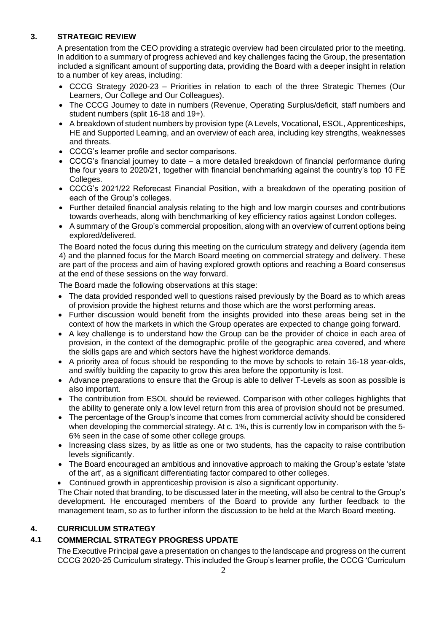# **3. STRATEGIC REVIEW**

A presentation from the CEO providing a strategic overview had been circulated prior to the meeting. In addition to a summary of progress achieved and key challenges facing the Group, the presentation included a significant amount of supporting data, providing the Board with a deeper insight in relation to a number of key areas, including:

- CCCG Strategy 2020-23 Priorities in relation to each of the three Strategic Themes (Our Learners, Our College and Our Colleagues).
- The CCCG Journey to date in numbers (Revenue, Operating Surplus/deficit, staff numbers and student numbers (split 16-18 and 19+).
- A breakdown of student numbers by provision type (A Levels, Vocational, ESOL, Apprenticeships, HE and Supported Learning, and an overview of each area, including key strengths, weaknesses and threats.
- CCCG's learner profile and sector comparisons.
- CCCG's financial journey to date a more detailed breakdown of financial performance during the four years to 2020/21, together with financial benchmarking against the country's top 10 FE Colleges.
- CCCG's 2021/22 Reforecast Financial Position, with a breakdown of the operating position of each of the Group's colleges.
- Further detailed financial analysis relating to the high and low margin courses and contributions towards overheads, along with benchmarking of key efficiency ratios against London colleges.
- A summary of the Group's commercial proposition, along with an overview of current options being explored/delivered.

The Board noted the focus during this meeting on the curriculum strategy and delivery (agenda item 4) and the planned focus for the March Board meeting on commercial strategy and delivery. These are part of the process and aim of having explored growth options and reaching a Board consensus at the end of these sessions on the way forward.

The Board made the following observations at this stage:

- The data provided responded well to questions raised previously by the Board as to which areas of provision provide the highest returns and those which are the worst performing areas.
- Further discussion would benefit from the insights provided into these areas being set in the context of how the markets in which the Group operates are expected to change going forward.
- A key challenge is to understand how the Group can be the provider of choice in each area of provision, in the context of the demographic profile of the geographic area covered, and where the skills gaps are and which sectors have the highest workforce demands.
- A priority area of focus should be responding to the move by schools to retain 16-18 year-olds, and swiftly building the capacity to grow this area before the opportunity is lost.
- Advance preparations to ensure that the Group is able to deliver T-Levels as soon as possible is also important.
- The contribution from ESOL should be reviewed. Comparison with other colleges highlights that the ability to generate only a low level return from this area of provision should not be presumed.
- The percentage of the Group's income that comes from commercial activity should be considered when developing the commercial strategy. At c. 1%, this is currently low in comparison with the 5-6% seen in the case of some other college groups.
- Increasing class sizes, by as little as one or two students, has the capacity to raise contribution levels significantly.
- The Board encouraged an ambitious and innovative approach to making the Group's estate 'state of the art', as a significant differentiating factor compared to other colleges.
- Continued growth in apprenticeship provision is also a significant opportunity.

• The Chair noted that branding, to be discussed later in the meeting, will also be central to the Group's development. He encouraged members of the Board to provide any further feedback to the management team, so as to further inform the discussion to be held at the March Board meeting.

# **4. CURRICULUM STRATEGY**

# **4.1 COMMERCIAL STRATEGY PROGRESS UPDATE**

The Executive Principal gave a presentation on changes to the landscape and progress on the current CCCG 2020-25 Curriculum strategy. This included the Group's learner profile, the CCCG 'Curriculum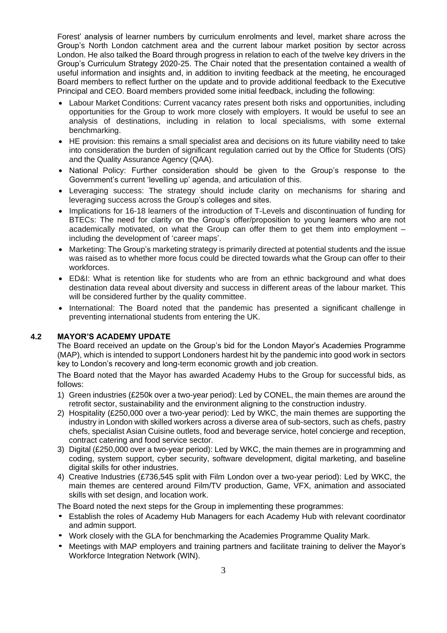Forest' analysis of learner numbers by curriculum enrolments and level, market share across the Group's North London catchment area and the current labour market position by sector across London. He also talked the Board through progress in relation to each of the twelve key drivers in the Group's Curriculum Strategy 2020-25. The Chair noted that the presentation contained a wealth of useful information and insights and, in addition to inviting feedback at the meeting, he encouraged Board members to reflect further on the update and to provide additional feedback to the Executive Principal and CEO. Board members provided some initial feedback, including the following:

- Labour Market Conditions: Current vacancy rates present both risks and opportunities, including opportunities for the Group to work more closely with employers. It would be useful to see an analysis of destinations, including in relation to local specialisms, with some external benchmarking.
- HE provision: this remains a small specialist area and decisions on its future viability need to take into consideration the burden of significant regulation carried out by the Office for Students (OfS) and the Quality Assurance Agency (QAA).
- National Policy: Further consideration should be given to the Group's response to the Government's current 'levelling up' agenda, and articulation of this.
- Leveraging success: The strategy should include clarity on mechanisms for sharing and leveraging success across the Group's colleges and sites.
- Implications for 16-18 learners of the introduction of T-Levels and discontinuation of funding for BTECs: The need for clarity on the Group's offer/proposition to young learners who are not academically motivated, on what the Group can offer them to get them into employment – including the development of 'career maps'.
- Marketing: The Group's marketing strategy is primarily directed at potential students and the issue was raised as to whether more focus could be directed towards what the Group can offer to their workforces.
- ED&I: What is retention like for students who are from an ethnic background and what does destination data reveal about diversity and success in different areas of the labour market. This will be considered further by the quality committee.
- International: The Board noted that the pandemic has presented a significant challenge in preventing international students from entering the UK.

## **4.2 MAYOR'S ACADEMY UPDATE**

The Board received an update on the Group's bid for the London Mayor's Academies Programme (MAP), which is intended to support Londoners hardest hit by the pandemic into good work in sectors key to London's recovery and long-term economic growth and job creation.

The Board noted that the Mayor has awarded Academy Hubs to the Group for successful bids, as follows:

- 1) Green industries (£250k over a two-year period): Led by CONEL, the main themes are around the retrofit sector, sustainability and the environment aligning to the construction industry.
- 2) Hospitality (£250,000 over a two-year period): Led by WKC, the main themes are supporting the industry in London with skilled workers across a diverse area of sub-sectors, such as chefs, pastry chefs, specialist Asian Cuisine outlets, food and beverage service, hotel concierge and reception, contract catering and food service sector.
- 3) Digital (£250,000 over a two-year period): Led by WKC, the main themes are in programming and coding, system support, cyber security, software development, digital marketing, and baseline digital skills for other industries.
- 4) Creative Industries (£736,545 split with Film London over a two-year period): Led by WKC, the main themes are centered around Film/TV production, Game, VFX, animation and associated skills with set design, and location work.

The Board noted the next steps for the Group in implementing these programmes:

- Establish the roles of Academy Hub Managers for each Academy Hub with relevant coordinator and admin support.
- Work closely with the GLA for benchmarking the Academies Programme Quality Mark.
- Meetings with MAP employers and training partners and facilitate training to deliver the Mayor's Workforce Integration Network (WIN).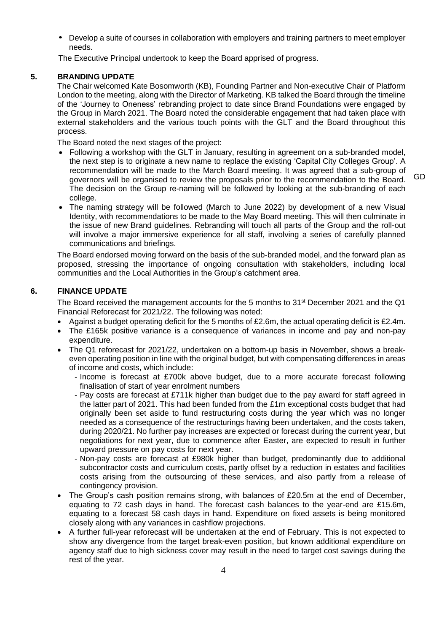• Develop a suite of courses in collaboration with employers and training partners to meet employer needs.

The Executive Principal undertook to keep the Board apprised of progress.

#### **5. BRANDING UPDATE**

The Chair welcomed Kate Bosomworth (KB), Founding Partner and Non-executive Chair of Platform London to the meeting, along with the Director of Marketing. KB talked the Board through the timeline of the 'Journey to Oneness' rebranding project to date since Brand Foundations were engaged by the Group in March 2021. The Board noted the considerable engagement that had taken place with external stakeholders and the various touch points with the GLT and the Board throughout this process.

The Board noted the next stages of the project:

• Following a workshop with the GLT in January, resulting in agreement on a sub-branded model, the next step is to originate a new name to replace the existing 'Capital City Colleges Group'. A recommendation will be made to the March Board meeting. It was agreed that a sub-group of governors will be organised to review the proposals prior to the recommendation to the Board. The decision on the Group re-naming will be followed by looking at the sub-branding of each college.

• The naming strategy will be followed (March to June 2022) by development of a new Visual Identity, with recommendations to be made to the May Board meeting. This will then culminate in the issue of new Brand guidelines. Rebranding will touch all parts of the Group and the roll-out will involve a major immersive experience for all staff, involving a series of carefully planned communications and briefings.

The Board endorsed moving forward on the basis of the sub-branded model, and the forward plan as proposed, stressing the importance of ongoing consultation with stakeholders, including local communities and the Local Authorities in the Group's catchment area.

## **6. FINANCE UPDATE**

The Board received the management accounts for the 5 months to 31<sup>st</sup> December 2021 and the Q1 Financial Reforecast for 2021/22. The following was noted:

- Against a budget operating deficit for the 5 months of £2.6m, the actual operating deficit is £2.4m.
- The £165k positive variance is a consequence of variances in income and pay and non-pay expenditure.
- The Q1 reforecast for 2021/22, undertaken on a bottom-up basis in November, shows a breakeven operating position in line with the original budget, but with compensating differences in areas of income and costs, which include:
	- Income is forecast at £700k above budget, due to a more accurate forecast following finalisation of start of year enrolment numbers
	- Pay costs are forecast at £711k higher than budget due to the pay award for staff agreed in the latter part of 2021. This had been funded from the £1m exceptional costs budget that had originally been set aside to fund restructuring costs during the year which was no longer needed as a consequence of the restructurings having been undertaken, and the costs taken, during 2020/21. No further pay increases are expected or forecast during the current year, but negotiations for next year, due to commence after Easter, are expected to result in further upward pressure on pay costs for next year.
	- Non-pay costs are forecast at £980k higher than budget, predominantly due to additional subcontractor costs and curriculum costs, partly offset by a reduction in estates and facilities costs arising from the outsourcing of these services, and also partly from a release of contingency provision.
- The Group's cash position remains strong, with balances of £20.5m at the end of December, equating to 72 cash days in hand. The forecast cash balances to the year-end are £15.6m, equating to a forecast 58 cash days in hand. Expenditure on fixed assets is being monitored closely along with any variances in cashflow projections.
- A further full-year reforecast will be undertaken at the end of February. This is not expected to show any divergence from the target break-even position, but known additional expenditure on agency staff due to high sickness cover may result in the need to target cost savings during the rest of the year.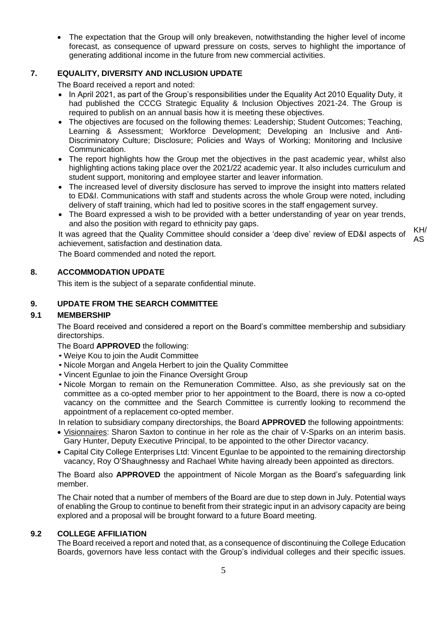• The expectation that the Group will only breakeven, notwithstanding the higher level of income forecast, as consequence of upward pressure on costs, serves to highlight the importance of generating additional income in the future from new commercial activities.

# **7. EQUALITY, DIVERSITY AND INCLUSION UPDATE**

The Board received a report and noted:

- In April 2021, as part of the Group's responsibilities under the Equality Act 2010 Equality Duty, it had published the CCCG Strategic Equality & Inclusion Objectives 2021-24. The Group is required to publish on an annual basis how it is meeting these objectives.
- The objectives are focused on the following themes: Leadership: Student Outcomes: Teaching, Learning & Assessment; Workforce Development; Developing an Inclusive and Anti-Discriminatory Culture; Disclosure; Policies and Ways of Working; Monitoring and Inclusive Communication.
- The report highlights how the Group met the objectives in the past academic year, whilst also highlighting actions taking place over the 2021/22 academic year. It also includes curriculum and student support, monitoring and employee starter and leaver information.
- The increased level of diversity disclosure has served to improve the insight into matters related to ED&I. Communications with staff and students across the whole Group were noted, including delivery of staff training, which had led to positive scores in the staff engagement survey.
- The Board expressed a wish to be provided with a better understanding of year on year trends, and also the position with regard to ethnicity pay gaps.

It was agreed that the Quality Committee should consider a 'deep dive' review of ED&I aspects of achievement, satisfaction and destination data. KH/ AS

The Board commended and noted the report.

# **8. ACCOMMODATION UPDATE**

This item is the subject of a separate confidential minute.

# **9. UPDATE FROM THE SEARCH COMMITTEE**

# **9.1 MEMBERSHIP**

The Board received and considered a report on the Board's committee membership and subsidiary directorships.

The Board **APPROVED** the following:

- Weiye Kou to join the Audit Committee
- Nicole Morgan and Angela Herbert to join the Quality Committee
- Vincent Egunlae to join the Finance Oversight Group
- Nicole Morgan to remain on the Remuneration Committee. Also, as she previously sat on the committee as a co-opted member prior to her appointment to the Board, there is now a co-opted vacancy on the committee and the Search Committee is currently looking to recommend the appointment of a replacement co-opted member.

In relation to subsidiary company directorships, the Board **APPROVED** the following appointments:

- Visionnaires: Sharon Saxton to continue in her role as the chair of V-Sparks on an interim basis. Gary Hunter, Deputy Executive Principal, to be appointed to the other Director vacancy.
- Capital City College Enterprises Ltd: Vincent Egunlae to be appointed to the remaining directorship vacancy, Roy O'Shaughnessy and Rachael White having already been appointed as directors.

The Board also **APPROVED** the appointment of Nicole Morgan as the Board's safeguarding link member.

The Chair noted that a number of members of the Board are due to step down in July. Potential ways of enabling the Group to continue to benefit from their strategic input in an advisory capacity are being explored and a proposal will be brought forward to a future Board meeting.

## **9.2 COLLEGE AFFILIATION**

The Board received a report and noted that, as a consequence of discontinuing the College Education Boards, governors have less contact with the Group's individual colleges and their specific issues.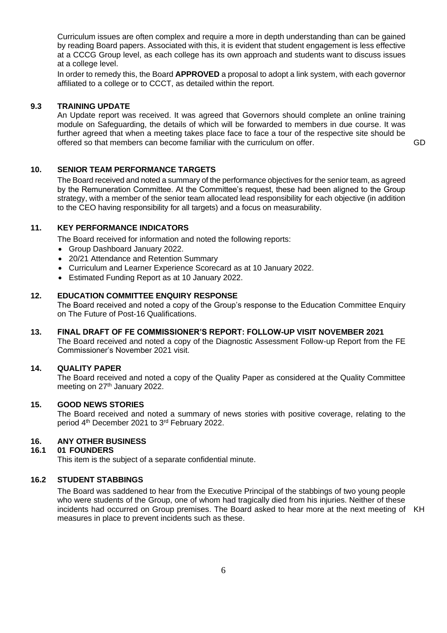Curriculum issues are often complex and require a more in depth understanding than can be gained by reading Board papers. Associated with this, it is evident that student engagement is less effective at a CCCG Group level, as each college has its own approach and students want to discuss issues at a college level.

In order to remedy this, the Board **APPROVED** a proposal to adopt a link system, with each governor affiliated to a college or to CCCT, as detailed within the report.

#### **9.3 TRAINING UPDATE**

An Update report was received. It was agreed that Governors should complete an online training module on Safeguarding, the details of which will be forwarded to members in due course. It was further agreed that when a meeting takes place face to face a tour of the respective site should be offered so that members can become familiar with the curriculum on offer. GD

#### **10. SENIOR TEAM PERFORMANCE TARGETS**

The Board received and noted a summary of the performance objectives for the senior team, as agreed by the Remuneration Committee. At the Committee's request, these had been aligned to the Group strategy, with a member of the senior team allocated lead responsibility for each objective (in addition to the CEO having responsibility for all targets) and a focus on measurability.

## **11. KEY PERFORMANCE INDICATORS**

The Board received for information and noted the following reports:

- Group Dashboard January 2022.
- 20/21 Attendance and Retention Summary
- Curriculum and Learner Experience Scorecard as at 10 January 2022.
- Estimated Funding Report as at 10 January 2022.

#### **12. EDUCATION COMMITTEE ENQUIRY RESPONSE**

The Board received and noted a copy of the Group's response to the Education Committee Enquiry on The Future of Post-16 Qualifications.

#### **13. FINAL DRAFT OF FE COMMISSIONER'S REPORT: FOLLOW-UP VISIT NOVEMBER 2021**

The Board received and noted a copy of the Diagnostic Assessment Follow-up Report from the FE Commissioner's November 2021 visit.

## **14. QUALITY PAPER**

The Board received and noted a copy of the Quality Paper as considered at the Quality Committee meeting on 27<sup>th</sup> January 2022.

#### **15. GOOD NEWS STORIES**

The Board received and noted a summary of news stories with positive coverage, relating to the period 4th December 2021 to 3rd February 2022.

# **16. ANY OTHER BUSINESS**

#### **16.1 01 FOUNDERS**

This item is the subject of a separate confidential minute.

#### **16.2 STUDENT STABBINGS**

The Board was saddened to hear from the Executive Principal of the stabbings of two young people who were students of the Group, one of whom had tragically died from his injuries. Neither of these incidents had occurred on Group premises. The Board asked to hear more at the next meeting of KHmeasures in place to prevent incidents such as these.